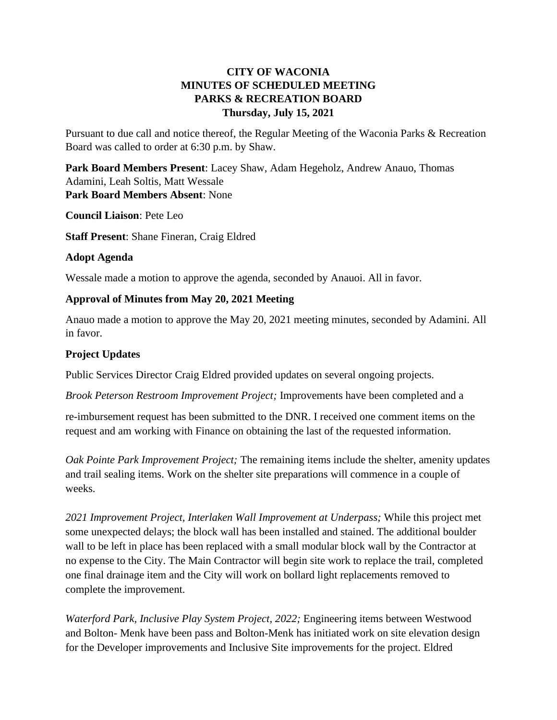# **CITY OF WACONIA MINUTES OF SCHEDULED MEETING PARKS & RECREATION BOARD Thursday, July 15, 2021**

Pursuant to due call and notice thereof, the Regular Meeting of the Waconia Parks & Recreation Board was called to order at 6:30 p.m. by Shaw.

**Park Board Members Present**: Lacey Shaw, Adam Hegeholz, Andrew Anauo, Thomas Adamini, Leah Soltis, Matt Wessale **Park Board Members Absent**: None

**Council Liaison**: Pete Leo

**Staff Present**: Shane Fineran, Craig Eldred

## **Adopt Agenda**

Wessale made a motion to approve the agenda, seconded by Anauoi. All in favor.

## **Approval of Minutes from May 20, 2021 Meeting**

Anauo made a motion to approve the May 20, 2021 meeting minutes, seconded by Adamini. All in favor.

# **Project Updates**

Public Services Director Craig Eldred provided updates on several ongoing projects.

*Brook Peterson Restroom Improvement Project;* Improvements have been completed and a

re-imbursement request has been submitted to the DNR. I received one comment items on the request and am working with Finance on obtaining the last of the requested information.

*Oak Pointe Park Improvement Project;* The remaining items include the shelter, amenity updates and trail sealing items. Work on the shelter site preparations will commence in a couple of weeks.

*2021 Improvement Project, Interlaken Wall Improvement at Underpass;* While this project met some unexpected delays; the block wall has been installed and stained. The additional boulder wall to be left in place has been replaced with a small modular block wall by the Contractor at no expense to the City. The Main Contractor will begin site work to replace the trail, completed one final drainage item and the City will work on bollard light replacements removed to complete the improvement.

*Waterford Park, Inclusive Play System Project, 2022;* Engineering items between Westwood and Bolton- Menk have been pass and Bolton-Menk has initiated work on site elevation design for the Developer improvements and Inclusive Site improvements for the project. Eldred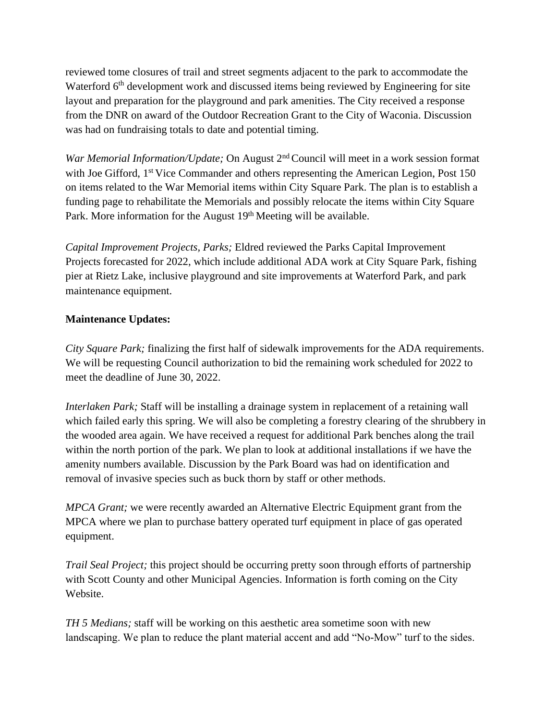reviewed tome closures of trail and street segments adjacent to the park to accommodate the Waterford 6<sup>th</sup> development work and discussed items being reviewed by Engineering for site layout and preparation for the playground and park amenities. The City received a response from the DNR on award of the Outdoor Recreation Grant to the City of Waconia. Discussion was had on fundraising totals to date and potential timing.

*War Memorial Information/Update;* On August 2nd Council will meet in a work session format with Joe Gifford, 1<sup>st</sup> Vice Commander and others representing the American Legion, Post 150 on items related to the War Memorial items within City Square Park. The plan is to establish a funding page to rehabilitate the Memorials and possibly relocate the items within City Square Park. More information for the August 19<sup>th</sup> Meeting will be available.

*Capital Improvement Projects, Parks;* Eldred reviewed the Parks Capital Improvement Projects forecasted for 2022, which include additional ADA work at City Square Park, fishing pier at Rietz Lake, inclusive playground and site improvements at Waterford Park, and park maintenance equipment.

# **Maintenance Updates:**

*City Square Park;* finalizing the first half of sidewalk improvements for the ADA requirements. We will be requesting Council authorization to bid the remaining work scheduled for 2022 to meet the deadline of June 30, 2022.

*Interlaken Park;* Staff will be installing a drainage system in replacement of a retaining wall which failed early this spring. We will also be completing a forestry clearing of the shrubbery in the wooded area again. We have received a request for additional Park benches along the trail within the north portion of the park. We plan to look at additional installations if we have the amenity numbers available. Discussion by the Park Board was had on identification and removal of invasive species such as buck thorn by staff or other methods.

*MPCA Grant;* we were recently awarded an Alternative Electric Equipment grant from the MPCA where we plan to purchase battery operated turf equipment in place of gas operated equipment.

*Trail Seal Project;* this project should be occurring pretty soon through efforts of partnership with Scott County and other Municipal Agencies. Information is forth coming on the City Website.

*TH 5 Medians;* staff will be working on this aesthetic area sometime soon with new landscaping. We plan to reduce the plant material accent and add "No-Mow" turf to the sides.